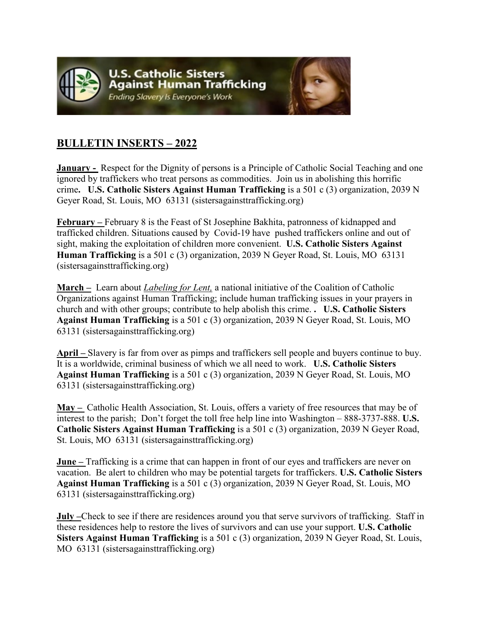

## **BULLETIN INSERTS – 2022**

**January -** Respect for the Dignity of persons is a Principle of Catholic Social Teaching and one ignored by traffickers who treat persons as commodities. Join us in abolishing this horrific crime**. U.S. Catholic Sisters Against Human Trafficking** is a 501 c (3) organization, 2039 N Geyer Road, St. Louis, MO 63131 (sistersagainsttrafficking.org)

**February –** February 8 is the Feast of St Josephine Bakhita, patronness of kidnapped and trafficked children. Situations caused by Covid-19 have pushed traffickers online and out of sight, making the exploitation of children more convenient. **U.S. Catholic Sisters Against Human Trafficking** is a 501 c (3) organization, 2039 N Geyer Road, St. Louis, MO 63131 (sistersagainsttrafficking.org)

**March –** Learn about *Labeling for Lent,* a national initiative of the Coalition of Catholic Organizations against Human Trafficking; include human trafficking issues in your prayers in church and with other groups; contribute to help abolish this crime. **. U.S. Catholic Sisters Against Human Trafficking** is a 501 c (3) organization, 2039 N Geyer Road, St. Louis, MO 63131 (sistersagainsttrafficking.org)

**April –** Slavery is far from over as pimps and traffickers sell people and buyers continue to buy. It is a worldwide, criminal business of which we all need to work. **U.S. Catholic Sisters Against Human Trafficking** is a 501 c (3) organization, 2039 N Geyer Road, St. Louis, MO 63131 (sistersagainsttrafficking.org)

**May –** Catholic Health Association, St. Louis, offers a variety of free resources that may be of interest to the parish; Don't forget the toll free help line into Washington – 888-3737-888. **U.S. Catholic Sisters Against Human Trafficking** is a 501 c (3) organization, 2039 N Geyer Road, St. Louis, MO 63131 (sistersagainsttrafficking.org)

**June –** Trafficking is a crime that can happen in front of our eyes and traffickers are never on vacation. Be alert to children who may be potential targets for traffickers. **U.S. Catholic Sisters Against Human Trafficking** is a 501 c (3) organization, 2039 N Geyer Road, St. Louis, MO 63131 (sistersagainsttrafficking.org)

**July –**Check to see if there are residences around you that serve survivors of trafficking. Staff in these residences help to restore the lives of survivors and can use your support. **U.S. Catholic Sisters Against Human Trafficking** is a 501 c (3) organization, 2039 N Geyer Road, St. Louis, MO 63131 (sistersagainsttrafficking.org)